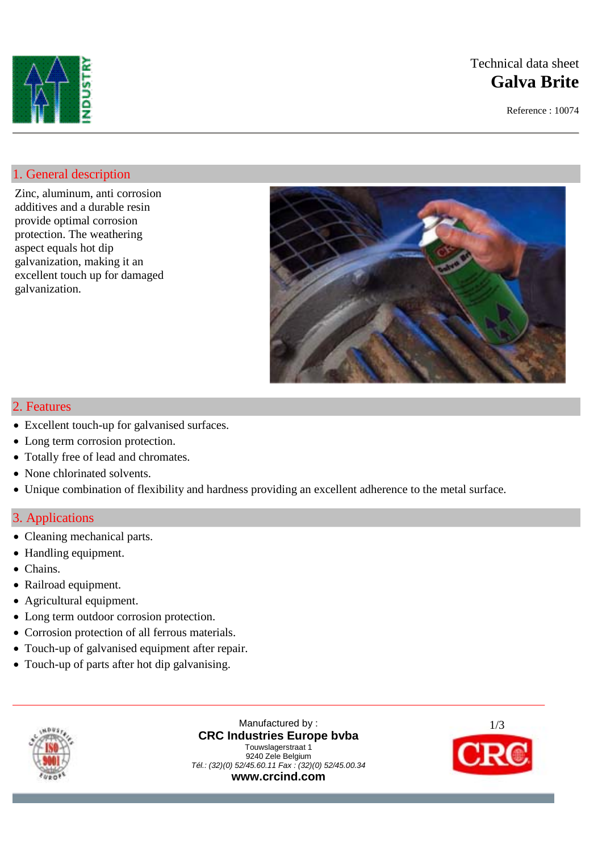

# Technical data sheet **Galva Brite**

Reference : 10074

## 1. General description

Zinc, aluminum, anti corrosion additives and a durable resin provide optimal corrosion protection. The weathering aspect equals hot dip galvanization, making it an excellent touch up for damaged galvanization.



### 2. Features

- Excellent touch-up for galvanised surfaces.
- Long term corrosion protection.
- Totally free of lead and chromates.
- None chlorinated solvents.
- Unique combination of flexibility and hardness providing an excellent adherence to the metal surface.

## 3. Applications

- Cleaning mechanical parts.
- Handling equipment.
- Chains.
- Railroad equipment.
- Agricultural equipment.
- Long term outdoor corrosion protection.
- Corrosion protection of all ferrous materials.
- Touch-up of galvanised equipment after repair.
- Touch-up of parts after hot dip galvanising.



Manufactured by : **CRC Industries Europe bvba** Touwslagerstraat 1 9240 Zele Belgium *Tél.: (32)(0) 52/45.60.11 Fax : (32)(0) 52/45.00.34*  **www.crcind.com**

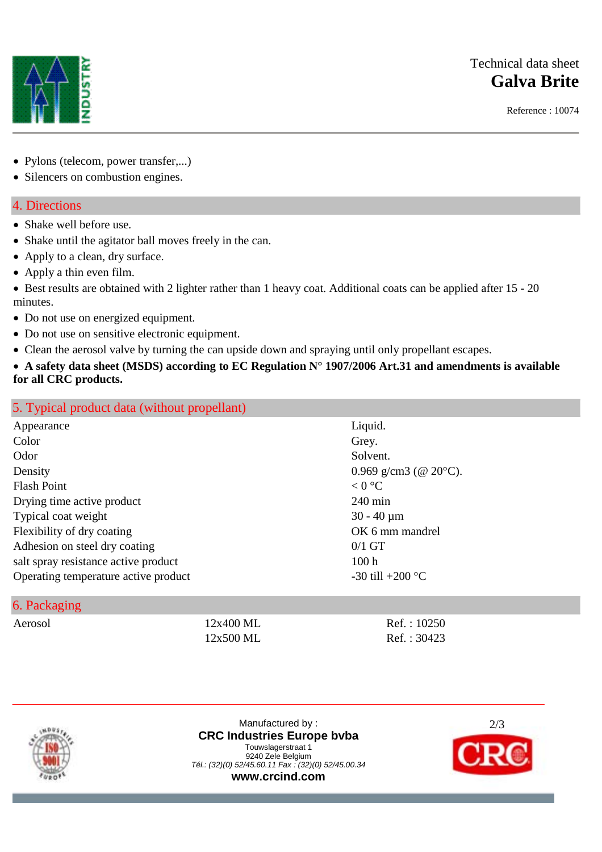## Technical data sheet **Galva Brite**

Reference : 10074



- Pylons (telecom, power transfer,...)
- Silencers on combustion engines.

## 4. Directions

- Shake well before use.
- Shake until the agitator ball moves freely in the can.
- Apply to a clean, dry surface.
- Apply a thin even film.
- Best results are obtained with 2 lighter rather than 1 heavy coat. Additional coats can be applied after 15 20 minutes.
- Do not use on energized equipment.
- Do not use on sensitive electronic equipment.
- Clean the aerosol valve by turning the can upside down and spraying until only propellant escapes.
- **A safety data sheet (MSDS) according to EC Regulation N° 1907/2006 Art.31 and amendments is available for all CRC products.**

| 5. Typical product data (without propellant) |                                 |
|----------------------------------------------|---------------------------------|
| Appearance                                   | Liquid.                         |
| Color                                        | Grey.                           |
| Odor                                         | Solvent.                        |
| Density                                      | 0.969 g/cm3 (@ $20^{\circ}$ C). |
| <b>Flash Point</b>                           | < 0 °C                          |
| Drying time active product                   | $240 \text{ min}$               |
| Typical coat weight                          | $30 - 40 \mu m$                 |
| Flexibility of dry coating                   | OK 6 mm mandrel                 |
| Adhesion on steel dry coating                | $0/1$ GT                        |
| salt spray resistance active product         | 100h                            |
| Operating temperature active product         | -30 till +200 $^{\circ}$ C      |

### 6. Packaging

Aerosol 12x400 ML Ref. : 10250 12x500 ML Ref.: 30423



Manufactured by : **CRC Industries Europe bvba** Touwslagerstraat 1 9240 Zele Belgium *Tél.: (32)(0) 52/45.60.11 Fax : (32)(0) 52/45.00.34*  **www.crcind.com**